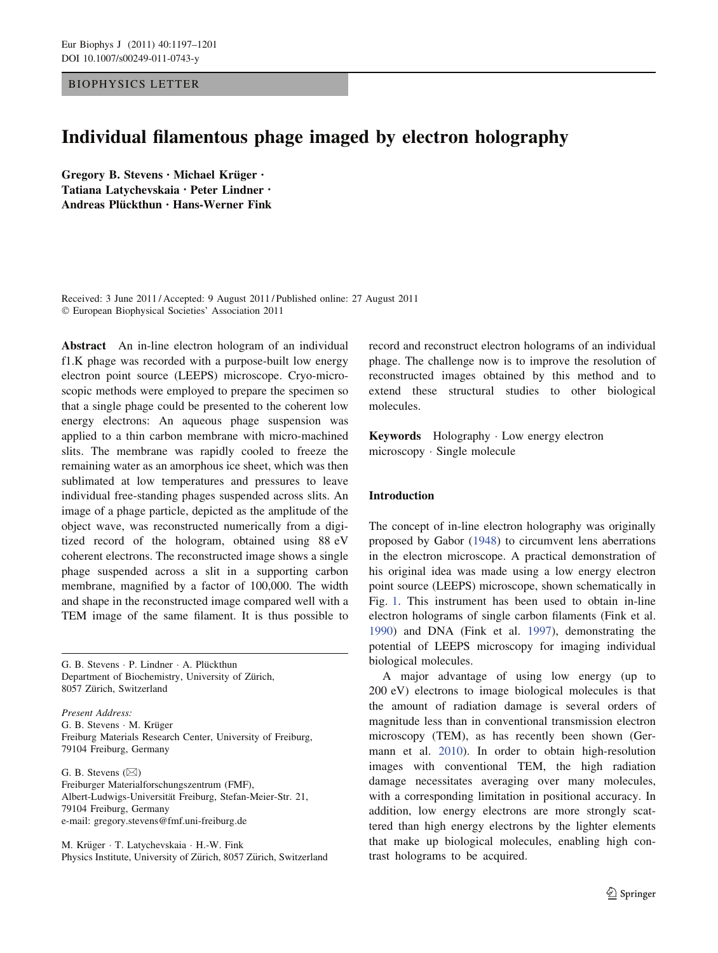## BIOPHYSICS LETTER

# Individual filamentous phage imaged by electron holography

Gregory B. Stevens · Michael Krüger · Tatiana Latychevskaia • Peter Lindner • Andreas Plückthun • Hans-Werner Fink

Received: 3 June 2011 / Accepted: 9 August 2011 / Published online: 27 August 2011 - European Biophysical Societies' Association 2011

Abstract An in-line electron hologram of an individual f1.K phage was recorded with a purpose-built low energy electron point source (LEEPS) microscope. Cryo-microscopic methods were employed to prepare the specimen so that a single phage could be presented to the coherent low energy electrons: An aqueous phage suspension was applied to a thin carbon membrane with micro-machined slits. The membrane was rapidly cooled to freeze the remaining water as an amorphous ice sheet, which was then sublimated at low temperatures and pressures to leave individual free-standing phages suspended across slits. An image of a phage particle, depicted as the amplitude of the object wave, was reconstructed numerically from a digitized record of the hologram, obtained using 88 eV coherent electrons. The reconstructed image shows a single phage suspended across a slit in a supporting carbon membrane, magnified by a factor of 100,000. The width and shape in the reconstructed image compared well with a TEM image of the same filament. It is thus possible to

G. B. Stevens · P. Lindner · A. Plückthun Department of Biochemistry, University of Zürich, 8057 Zürich, Switzerland

Present Address: G. B. Stevens · M. Krüger Freiburg Materials Research Center, University of Freiburg, 79104 Freiburg, Germany

G. B. Stevens  $(\boxtimes)$ Freiburger Materialforschungszentrum (FMF), Albert-Ludwigs-Universität Freiburg, Stefan-Meier-Str. 21, 79104 Freiburg, Germany e-mail: gregory.stevens@fmf.uni-freiburg.de

M. Krüger · T. Latychevskaia · H.-W. Fink Physics Institute, University of Zürich, 8057 Zürich, Switzerland record and reconstruct electron holograms of an individual phage. The challenge now is to improve the resolution of reconstructed images obtained by this method and to extend these structural studies to other biological molecules.

Keywords Holography - Low energy electron microscopy - Single molecule

## Introduction

The concept of in-line electron holography was originally proposed by Gabor [\(1948](#page-4-0)) to circumvent lens aberrations in the electron microscope. A practical demonstration of his original idea was made using a low energy electron point source (LEEPS) microscope, shown schematically in Fig. [1](#page-1-0). This instrument has been used to obtain in-line electron holograms of single carbon filaments (Fink et al. [1990](#page-4-0)) and DNA (Fink et al. [1997\)](#page-4-0), demonstrating the potential of LEEPS microscopy for imaging individual biological molecules.

A major advantage of using low energy (up to 200 eV) electrons to image biological molecules is that the amount of radiation damage is several orders of magnitude less than in conventional transmission electron microscopy (TEM), as has recently been shown (Germann et al. [2010\)](#page-4-0). In order to obtain high-resolution images with conventional TEM, the high radiation damage necessitates averaging over many molecules, with a corresponding limitation in positional accuracy. In addition, low energy electrons are more strongly scattered than high energy electrons by the lighter elements that make up biological molecules, enabling high contrast holograms to be acquired.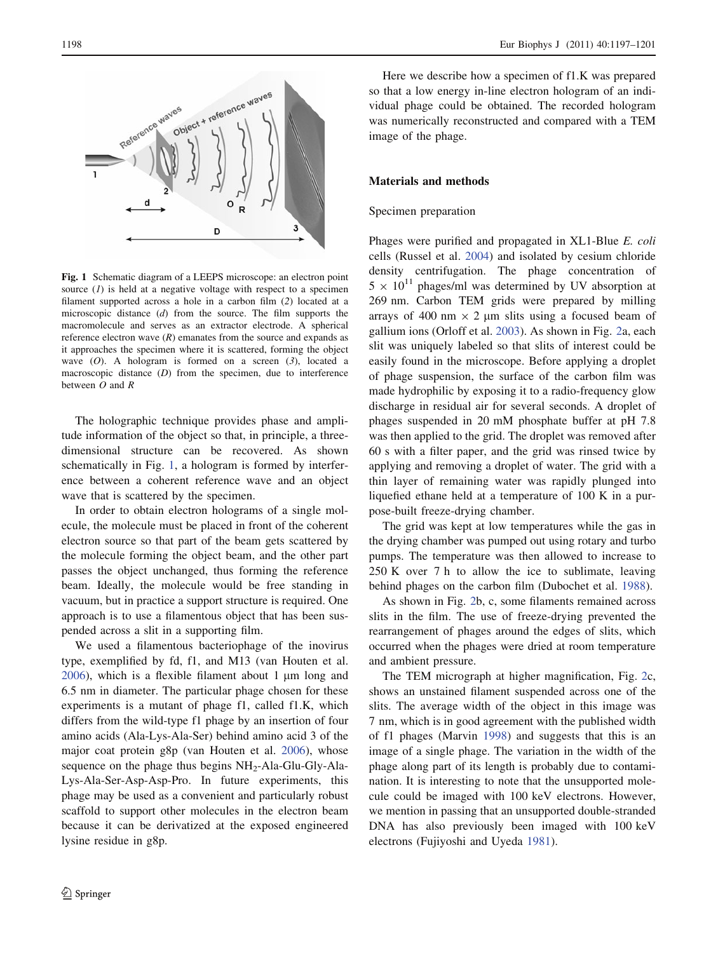<span id="page-1-0"></span>

Fig. 1 Schematic diagram of a LEEPS microscope: an electron point source  $(1)$  is held at a negative voltage with respect to a specimen filament supported across a hole in a carbon film (2) located at a microscopic distance (d) from the source. The film supports the macromolecule and serves as an extractor electrode. A spherical reference electron wave  $(R)$  emanates from the source and expands as it approaches the specimen where it is scattered, forming the object wave  $(O)$ . A hologram is formed on a screen  $(3)$ , located a macroscopic distance (D) from the specimen, due to interference between  $O$  and  $R$ 

The holographic technique provides phase and amplitude information of the object so that, in principle, a threedimensional structure can be recovered. As shown schematically in Fig. 1, a hologram is formed by interference between a coherent reference wave and an object wave that is scattered by the specimen.

In order to obtain electron holograms of a single molecule, the molecule must be placed in front of the coherent electron source so that part of the beam gets scattered by the molecule forming the object beam, and the other part passes the object unchanged, thus forming the reference beam. Ideally, the molecule would be free standing in vacuum, but in practice a support structure is required. One approach is to use a filamentous object that has been suspended across a slit in a supporting film.

We used a filamentous bacteriophage of the inovirus type, exemplified by fd, f1, and M13 (van Houten et al.  $2006$ ), which is a flexible filament about 1  $\mu$ m long and 6.5 nm in diameter. The particular phage chosen for these experiments is a mutant of phage f1, called f1.K, which differs from the wild-type f1 phage by an insertion of four amino acids (Ala-Lys-Ala-Ser) behind amino acid 3 of the major coat protein g8p (van Houten et al. [2006](#page-4-0)), whose sequence on the phage thus begins  $NH_2$ -Ala-Glu-Gly-Ala-Lys-Ala-Ser-Asp-Asp-Pro. In future experiments, this phage may be used as a convenient and particularly robust scaffold to support other molecules in the electron beam because it can be derivatized at the exposed engineered lysine residue in g8p.

Here we describe how a specimen of f1.K was prepared so that a low energy in-line electron hologram of an individual phage could be obtained. The recorded hologram was numerically reconstructed and compared with a TEM image of the phage.

## Materials and methods

#### Specimen preparation

Phages were purified and propagated in XL1-Blue E. coli cells (Russel et al. [2004\)](#page-4-0) and isolated by cesium chloride density centrifugation. The phage concentration of  $5 \times 10^{11}$  phages/ml was determined by UV absorption at 269 nm. Carbon TEM grids were prepared by milling arrays of 400 nm  $\times$  2 µm slits using a focused beam of gallium ions (Orloff et al. [2003](#page-4-0)). As shown in Fig. [2](#page-2-0)a, each slit was uniquely labeled so that slits of interest could be easily found in the microscope. Before applying a droplet of phage suspension, the surface of the carbon film was made hydrophilic by exposing it to a radio-frequency glow discharge in residual air for several seconds. A droplet of phages suspended in 20 mM phosphate buffer at pH 7.8 was then applied to the grid. The droplet was removed after 60 s with a filter paper, and the grid was rinsed twice by applying and removing a droplet of water. The grid with a thin layer of remaining water was rapidly plunged into liquefied ethane held at a temperature of 100 K in a purpose-built freeze-drying chamber.

The grid was kept at low temperatures while the gas in the drying chamber was pumped out using rotary and turbo pumps. The temperature was then allowed to increase to 250 K over 7 h to allow the ice to sublimate, leaving behind phages on the carbon film (Dubochet et al. [1988\)](#page-4-0).

As shown in Fig. [2](#page-2-0)b, c, some filaments remained across slits in the film. The use of freeze-drying prevented the rearrangement of phages around the edges of slits, which occurred when the phages were dried at room temperature and ambient pressure.

The TEM micrograph at higher magnification, Fig. [2](#page-2-0)c, shows an unstained filament suspended across one of the slits. The average width of the object in this image was 7 nm, which is in good agreement with the published width of f1 phages (Marvin [1998\)](#page-4-0) and suggests that this is an image of a single phage. The variation in the width of the phage along part of its length is probably due to contamination. It is interesting to note that the unsupported molecule could be imaged with 100 keV electrons. However, we mention in passing that an unsupported double-stranded DNA has also previously been imaged with 100 keV electrons (Fujiyoshi and Uyeda [1981](#page-4-0)).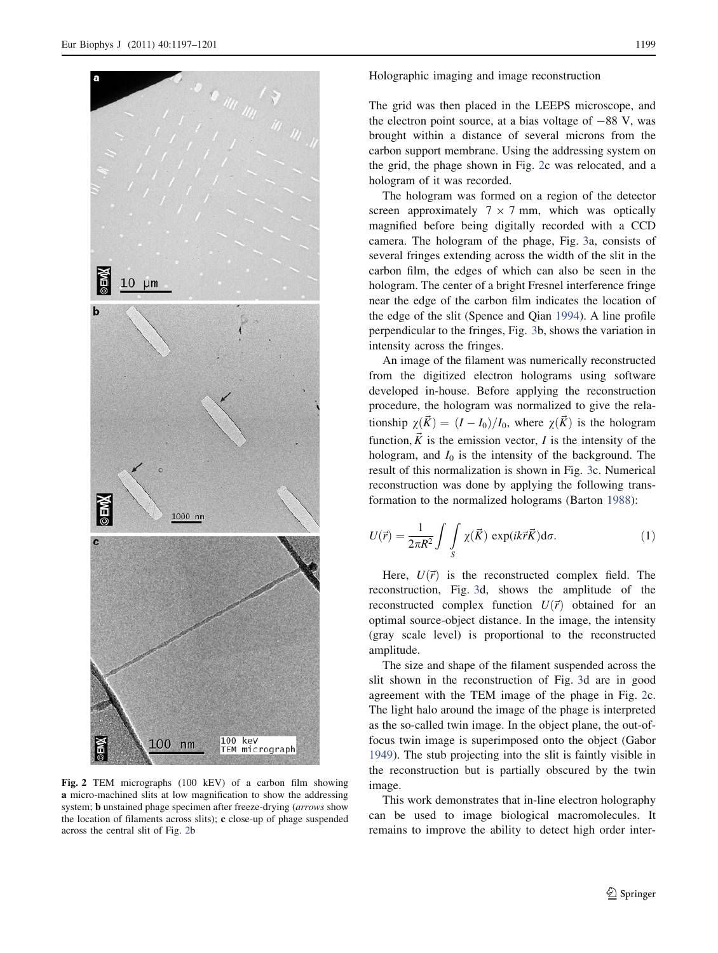<span id="page-2-0"></span>

Fig. 2 TEM micrographs (100 kEV) of a carbon film showing a micro-machined slits at low magnification to show the addressing system; b unstained phage specimen after freeze-drying (arrows show the location of filaments across slits); c close-up of phage suspended across the central slit of Fig. 2b

Holographic imaging and image reconstruction

The grid was then placed in the LEEPS microscope, and the electron point source, at a bias voltage of  $-88$  V, was brought within a distance of several microns from the carbon support membrane. Using the addressing system on the grid, the phage shown in Fig. 2c was relocated, and a hologram of it was recorded.

The hologram was formed on a region of the detector screen approximately  $7 \times 7$  mm, which was optically magnified before being digitally recorded with a CCD camera. The hologram of the phage, Fig. [3a](#page-3-0), consists of several fringes extending across the width of the slit in the carbon film, the edges of which can also be seen in the hologram. The center of a bright Fresnel interference fringe near the edge of the carbon film indicates the location of the edge of the slit (Spence and Qian [1994\)](#page-4-0). A line profile perpendicular to the fringes, Fig. [3b](#page-3-0), shows the variation in intensity across the fringes.

An image of the filament was numerically reconstructed from the digitized electron holograms using software developed in-house. Before applying the reconstruction procedure, the hologram was normalized to give the relationship  $\chi(\vec{K}) = (I - I_0)/I_0$ , where  $\chi(\vec{K})$  is the hologram function,  $\vec{K}$  is the emission vector, *I* is the intensity of the hologram, and  $I_0$  is the intensity of the background. The result of this normalization is shown in Fig. [3](#page-3-0)c. Numerical reconstruction was done by applying the following transformation to the normalized holograms (Barton [1988\)](#page-4-0):

$$
U(\vec{r}) = \frac{1}{2\pi R^2} \int \int\limits_{S} \chi(\vec{K}) \exp(ik\vec{r}\vec{K}) d\sigma.
$$
 (1)

Here,  $U(\vec{r})$  is the reconstructed complex field. The reconstruction, Fig. [3](#page-3-0)d, shows the amplitude of the reconstructed complex function  $U(\vec{r})$  obtained for an optimal source-object distance. In the image, the intensity (gray scale level) is proportional to the reconstructed amplitude.

The size and shape of the filament suspended across the slit shown in the reconstruction of Fig. [3](#page-3-0)d are in good agreement with the TEM image of the phage in Fig. 2c. The light halo around the image of the phage is interpreted as the so-called twin image. In the object plane, the out-offocus twin image is superimposed onto the object (Gabor [1949](#page-4-0)). The stub projecting into the slit is faintly visible in the reconstruction but is partially obscured by the twin image.

This work demonstrates that in-line electron holography can be used to image biological macromolecules. It remains to improve the ability to detect high order inter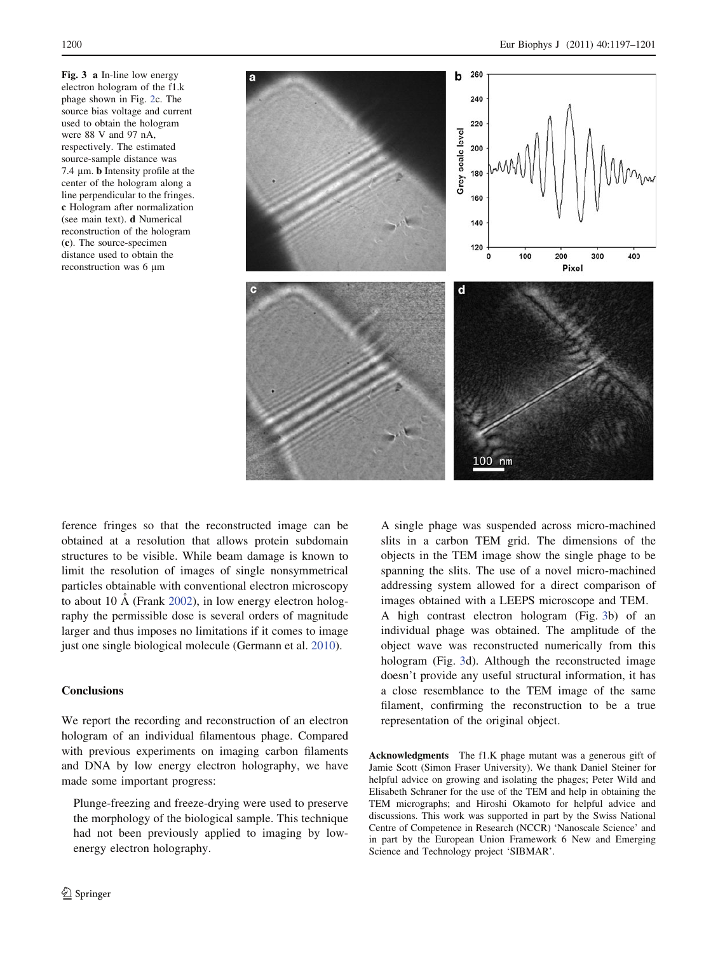<span id="page-3-0"></span>Fig. 3 a In-line low energy electron hologram of the f1.k phage shown in Fig. [2c](#page-2-0). The source bias voltage and current used to obtain the hologram were 88 V and 97 nA, respectively. The estimated source-sample distance was 7.4  $\mu$ m. **b** Intensity profile at the center of the hologram along a line perpendicular to the fringes. c Hologram after normalization (see main text). d Numerical reconstruction of the hologram (c). The source-specimen distance used to obtain the reconstruction was 6 um



ference fringes so that the reconstructed image can be obtained at a resolution that allows protein subdomain structures to be visible. While beam damage is known to limit the resolution of images of single nonsymmetrical particles obtainable with conventional electron microscopy to about 10  $\AA$  (Frank [2002\)](#page-4-0), in low energy electron holography the permissible dose is several orders of magnitude larger and thus imposes no limitations if it comes to image just one single biological molecule (Germann et al. [2010](#page-4-0)).

## **Conclusions**

We report the recording and reconstruction of an electron hologram of an individual filamentous phage. Compared with previous experiments on imaging carbon filaments and DNA by low energy electron holography, we have made some important progress:

Plunge-freezing and freeze-drying were used to preserve the morphology of the biological sample. This technique had not been previously applied to imaging by lowenergy electron holography.

A single phage was suspended across micro-machined slits in a carbon TEM grid. The dimensions of the objects in the TEM image show the single phage to be spanning the slits. The use of a novel micro-machined addressing system allowed for a direct comparison of images obtained with a LEEPS microscope and TEM.

A high contrast electron hologram (Fig. 3b) of an individual phage was obtained. The amplitude of the object wave was reconstructed numerically from this hologram (Fig. 3d). Although the reconstructed image doesn't provide any useful structural information, it has a close resemblance to the TEM image of the same filament, confirming the reconstruction to be a true representation of the original object.

Acknowledgments The f1.K phage mutant was a generous gift of Jamie Scott (Simon Fraser University). We thank Daniel Steiner for helpful advice on growing and isolating the phages; Peter Wild and Elisabeth Schraner for the use of the TEM and help in obtaining the TEM micrographs; and Hiroshi Okamoto for helpful advice and discussions. This work was supported in part by the Swiss National Centre of Competence in Research (NCCR) 'Nanoscale Science' and in part by the European Union Framework 6 New and Emerging Science and Technology project 'SIBMAR'.